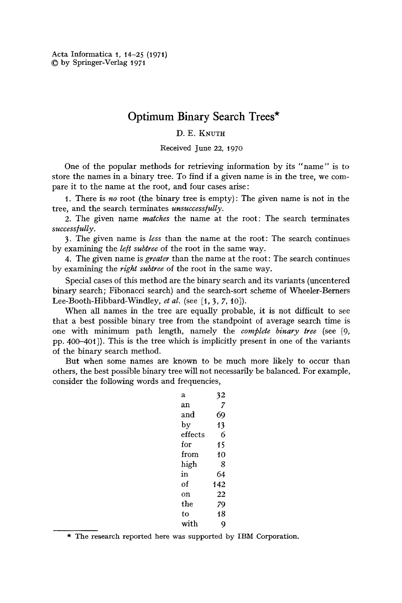Acta Informatica 1, 14-25 (1971) 9 by Springer-Verlag 1971

# **Optimum Binary Search Trees\***

## D. E. KNUTH

Received June 22, t97o

One of the popular methods for retrieving information by its "name" is to store the names in a binary tree. To find if a given name is in the tree, we compare it to the name at the root, and four cases arise:

1. There is *no* root (the binary tree is empty): The given name is not in the tree, and the search terminates *unsuccess/ully.* 

2. The given name *matches* the name at the root: The search terminates *suecess/ully.* 

3. The given name is *less* than the name at the root: The search continues by examining the *left subtree* of the root in the same way.

4. The given name is *greater* than the name at the root: The search continues by examining the *right subtree* of the root in the same way.

Special cases of this method are the binary search and its variants (uncentered binary search; Fibonacci search) and the search-sort scheme of Wheeler-Berners Lee-Booth-Hibbard-Windley, *et al.* (see [1, 3, 7, 10]).

When all names in the tree are equally probable, it is not difficult to see that a best possible binary tree from the standpoint of average search time is one with minimum path length, namely the *complete binary tree* (see [9, pp. 400-40t]). This is the tree which is implicitly present in one of the variants of the binary search method.

But when some names are known to be much more likely to occur than others, the best possible binary tree will not necessarily be balanced. For example, consider the following words and frequencies,

| а       | 32  |
|---------|-----|
| an      | 7   |
| and     | 69  |
| by      | 13  |
| effects | 6   |
| for     | 15  |
| from    | 10  |
| high    | 8   |
| in      | 64  |
| Ωf      | 142 |
| on      | 22  |
| the     | 79  |
| to      | 18  |
| with    |     |

\* The research reported here was supported by IBM Corporation.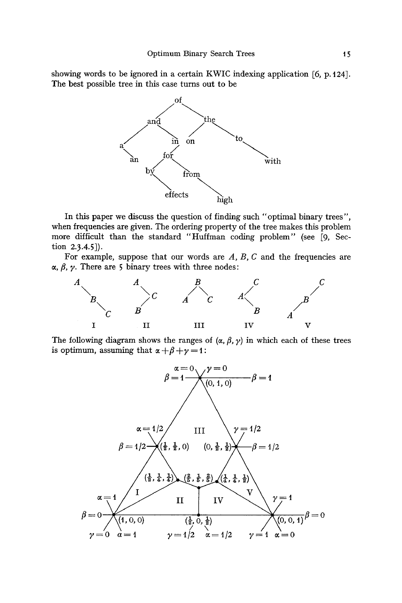showing words to be ignored in a certain KWIC indexing application [6, p. 124]. The best possible tree in this case turns out to be



In this paper we discuss the question of finding such "optimal binary trees", when frequencies are given. The ordering property of the tree makes this problem more difficult than the standard "Huffman coding problem" (see [9, Section 2.3.4.5]).

For example, suppose that our words are  $A$ ,  $B$ ,  $C$  and the frequencies are  $\alpha$ ,  $\beta$ ,  $\gamma$ . There are 5 binary trees with three nodes:



The following diagram shows the ranges of  $(\alpha, \beta, \gamma)$  in which each of these trees is optimum, assuming that  $\alpha + \beta + \gamma = 1$ :

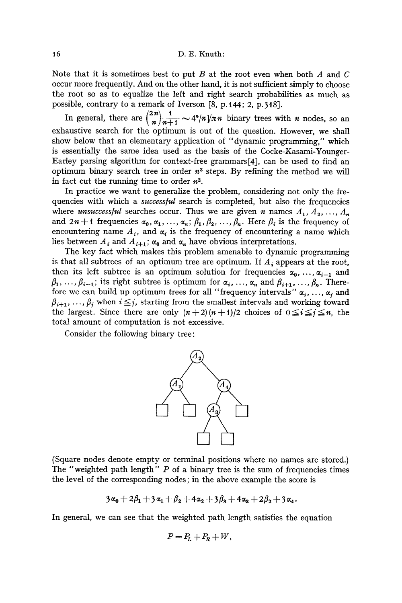16 D.E. Knuth:

Note that it is sometimes best to put B at the root even when both A and C occur more frequently. And on the other hand, it is not sufficient simply to choose the root so as to equalize the left and right search probabilities as much as possible, contrary to a remark of Iverson  $[8, p.144; 2, p.318]$ .

In general, there are  $\binom{2n}{n}\frac{1}{n+1}\sim 4^n/n\sqrt{\pi n}$  binary trees with *n* nodes, so an exhaustive search for the optimum is out of the question. However, we shall show below that an elementary application of *"dynamic* programming," which is essentially the same idea used as the basis of the Cocke-Kasami-Younger-Earley parsing algorithm for context-free grammars[4], can be used to find an optimum binary search tree in order  $n^3$  steps. By refining the method we will in fact cut the running time to order  $n^2$ .

In practice we want to generalize the problem, considering not only the frequencies with which a *successful* search is completed, but also the frequencies where *unsuccessful* searches occur. Thus we are given *n* names  $A_1, A_2, ..., A_n$ and  $2n + 1$  frequencies  $\alpha_0, \alpha_1, \ldots, \alpha_n; \beta_1, \beta_2, \ldots, \beta_n$ . Here  $\beta_i$  is the frequency of encountering name  $A_i$ , and  $\alpha_i$  is the frequency of encountering a name which lies between  $A_i$  and  $A_{i+1}$ ;  $\alpha_0$  and  $\alpha_n$  have obvious interpretations.

The key fact which makes this problem amenable to dynamic programming is that all subtrees of an optimum tree are optimum. If  $A_i$  appears at the root, then its left subtree is an optimum solution for frequencies  $\alpha_0, \ldots, \alpha_{i-1}$  and  $\beta_1, \ldots, \beta_{i-1}$ ; its right subtree is optimum for  $\alpha_i, \ldots, \alpha_n$  and  $\beta_{i+1}, \ldots, \beta_n$ . Therefore we can build up optimum trees for all "frequency intervals"  $\alpha_i, \ldots, \alpha_j$  and  $\beta_{i+1}, \ldots, \beta_i$  when  $i \leq j$ , starting from the smallest intervals and working toward the largest. Since there are only  $(n+2)(n+1)/2$  choices of  $0 \le i \le j \le n$ , the total amount of computation is not excessive.

Consider the following binary tree:



(Square nodes denote empty or terminal positions where no names are stored.) The "weighted path length" P of a binary tree is the sum of frequencies times the level of the corresponding nodes; in the above example the score is

$$
3\alpha_0+2\beta_1+3\alpha_1+\beta_2+4\alpha_2+3\beta_3+4\alpha_3+2\beta_2+3\alpha_4.
$$

In general, we can see that the weighted path length satisfies the equation

$$
P = P_L + P_R + W,
$$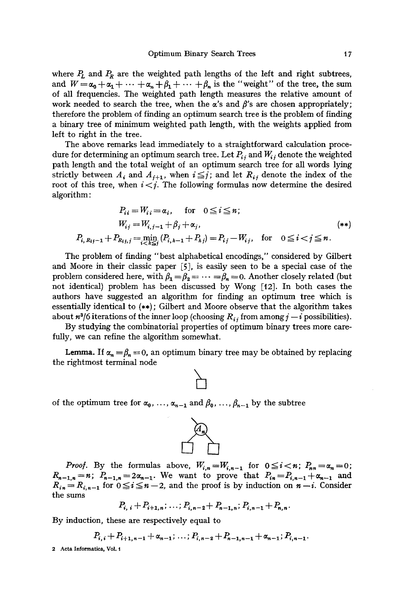where  $P_L$  and  $P_R$  are the weighted path lengths of the left and right subtrees, and  $W = \alpha_0 + \alpha_1 + \cdots + \alpha_n + \beta_1 + \cdots + \beta_n$  is the "weight" of the tree, the sum of all frequencies. The weighted path length measures the relative amount of work needed to search the tree, when the  $\alpha$ 's and  $\beta$ 's are chosen appropriately; therefore the problem of finding an optimum search tree is the problem of finding a binary tree of minimum weighted path length, with the weights applied from left to right in the tree.

The above remarks lead immediately to a straightforward calculation procedure for determining an optimum search tree. Let  $P_{i,i}$  and  $W_{i,i}$  denote the weighted path length and the total weight of an optimum search tree for all words lying strictly between  $A_i$  and  $A_{i+1}$ , when  $i \leq j$ ; and let  $R_{ij}$  denote the index of the root of this tree, when  $i < j$ . The following formulas now determine the desired algorithm :

$$
P_{ii} = W_{ii} = \alpha_i, \quad \text{for} \quad 0 \le i \le n;
$$
\n
$$
W_{ij} = W_{i,j-1} + \beta_j + \alpha_j, \qquad (**)
$$
\n
$$
P_{i, R_{ij}-1} + P_{R_{ij,j}} = \min_{i \in [k]} (P_{i,k-1} + P_{kj}) = P_{ij} - W_{ij}, \quad \text{for} \quad 0 \le i < j \le n.
$$

The problem of finding *"best* alphabetical encodings," considered by Gilbert and Moore in their classic paper [5], is easily seen to be a special case of the problem considered here, with  $\beta_1 = \beta_2 = \cdots = \beta_n = 0$ . Another closely related (but not identical) problem has been discussed by Wong  $[12]$ . In both cases the authors have suggested an algorithm for finding an optimum tree which is essentially identical to (\*\*); Gilbert and Moore observe that the algorithm takes about  $n^3/6$  iterations of the inner loop (choosing  $R_{i,j}$  from among  $j - i$  possibilities).

By studying the combinatorial properties of optimum binary trees more carefully, we can refine the algorithm somewhat.

**Lemma.** If  $\alpha_n = \beta_n = 0$ , an optimum binary tree may be obtained by replacing the rightmost terminal node

of the optimum tree for  $\alpha_0, \ldots, \alpha_{n-1}$  and  $\beta_0, \ldots, \beta_{n-1}$  by the subtree



$$
P_{i, i} + P_{i+1, n}; \ldots; P_{i, n-2} + P_{n-1, n}; P_{i, n-1} + P_{n, n}.
$$

By induction, these are respectively equal to

$$
P_{i,i}+P_{i+1,n-1}+\alpha_{n-1};\ldots;P_{i,n-2}+P_{n-1,n-1}+\alpha_{n-1};P_{i,n-1}.
$$

2 Acta Informatica, Vol. 1

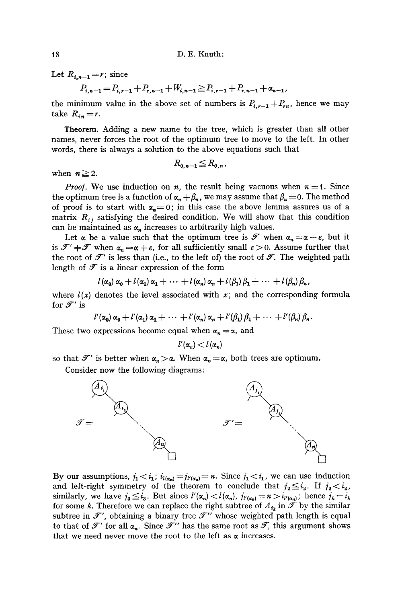Let  $R_{i,n-1} = r$ ; since

$$
P_{i,n-1} = P_{i,r-1} + P_{i,n-1} + W_{i,n-1} \ge P_{i,r-1} + P_{i,n-1} + \alpha_{n-1},
$$

the minimum value in the above set of numbers is  $P_{i,r-1} + P_{in}$ , hence we may take  $R_{in}=r$ .

Theorem. Adding a new name to the tree, which is greater than all other names, never forces the root of the optimum tree to move to the left. In other words, there is always a solution to the above equations such that

$$
R_{0,n-1} \leq R_{0,n},
$$

when  $n \geq 2$ .

*Proof.* We use induction on *n*, the result being vacuous when  $n = 1$ . Since the optimum tree is a function of  $\alpha_n + \beta_n$ , we may assume that  $\beta_n = 0$ . The method of proof is to start with  $\alpha_n = 0$ ; in this case the above lemma assures us of a matrix  $R_{ij}$  satisfying the desired condition. We will show that this condition can be maintained as  $\alpha_n$  increases to arbitrarily high values.

Let  $\alpha$  be a value such that the optimum tree is  $\mathscr T$  when  $\alpha_n = \alpha - \varepsilon$ , but it is  $\mathcal{F}' + \mathcal{F}$  when  $\alpha_n = \alpha + \varepsilon$ , for all sufficiently small  $\varepsilon > 0$ . Assume further that the root of  $\mathscr{T}'$  is less than (i.e., to the left of) the root of  $\mathscr{T}$ . The weighted path length of  $\mathscr T$  is a linear expression of the form

$$
l(\alpha_0) \alpha_0 + l(\alpha_1) \alpha_1 + \cdots + l(\alpha_n) \alpha_n + l(\beta_1) \beta_1 + \cdots + l(\beta_n) \beta_n,
$$

where  $l(x)$  denotes the level associated with x; and the corresponding formula for  $\mathscr{F}'$  is

$$
l'(\alpha_0) \alpha_0 + l'(\alpha_1) \alpha_1 + \cdots + l'(\alpha_n) \alpha_n + l'(\beta_1) \beta_1 + \cdots + l'(\beta_n) \beta_n.
$$

These two expressions become equal when  $\alpha_n = \alpha$ , and

$$
l'(\alpha_n) < l(\alpha_n)
$$

so that  $\mathscr{T}'$  is better when  $\alpha_n > \alpha$ . When  $\alpha_n = \alpha$ , both trees are optimum.

Consider now the following diagrams:



By our assumptions,  $j_1 < i_1$ ,  $i_{l(\alpha_n)} = j_{l'(\alpha_n)} = n$ . Since  $j_1 < i_1$ , we can use induction and left-right symmetry of the theorem to conclude that  $j_2 \leq i_2$ . If  $j_2 < i_2$ , similarly, we have  $j_3 \leq i_3$ . But since  $l'(\alpha_n) < l(\alpha_n)$ ,  $j_{l'(\alpha_n)} = n > i_{l'(\alpha_n)}$ ; hence  $j_k = i_k$ for some k. Therefore we can replace the right subtree of  $A_{i_k}$  in  $\tilde{\mathcal{F}}$  by the similar subtree in  $\mathcal{F}'$ , obtaining a binary tree  $\mathcal{F}''$  whose weighted path length is equal to that of  $\mathcal{T}'$  for all  $\alpha_n$ . Since  $\mathcal{T}''$  has the same root as  $\mathcal{T}$ , this argument shows that we need never move the root to the left as  $\alpha$  increases.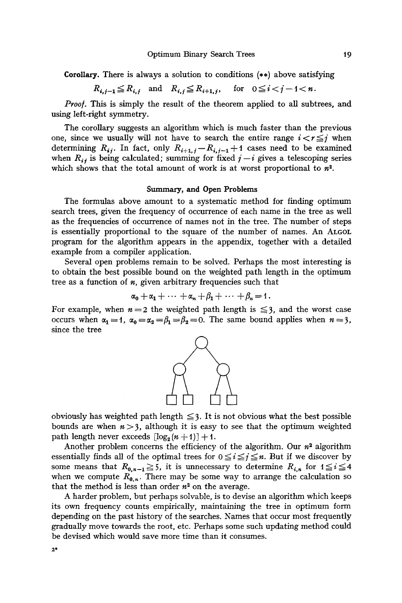Corollary. There is always a solution to conditions (\*\*) above satisfying

$$
R_{i,j-1} \le R_{i,j} \quad \text{and} \quad R_{i,j} \le R_{i+1,j}, \quad \text{for} \quad 0 \le i < j-1 < n
$$

*Proof.* This is simply the result of the theorem applied to all subtrees, and using left-right symmetry.

The corollary suggests an algorithm which is much faster than the previous one, since we usually will not have to search the entire range  $i < r \leq j$  when determining  $R_{ij}$ . In fact, only  $R_{i+1,j}-R_{i,j-1}+1$  cases need to be examined when  $R_{ij}$  is being calculated; summing for fixed  $j-i$  gives a telescoping series which shows that the total amount of work is at worst proportional to  $n^2$ .

#### **Summary, and Open Problems**

The formulas above amount to a systematic method for finding optimum search trees, given the frequency of occurrence of each name in the tree as well as the frequencies of occurrence of names not in the tree. The number of steps is essentially proportional to the square of the number of names. An ALGOL program for the algorithm appears in the appendix, together with a detailed example from a compiler application.

Several open problems remain to be solved. Perhaps the most interesting is to obtain the best possible bound on the weighted path length in the optimum tree as a function of  $n$ , given arbitrary frequencies such that

$$
\alpha_0+\alpha_1+\cdots+\alpha_n+\beta_1+\cdots+\beta_n=1.
$$

For example, when  $n = 2$  the weighted path length is  $\leq 3$ , and the worst case occurs when  $\alpha_1 = 1$ ,  $\alpha_0 = \alpha_2 = \beta_1 = \beta_2 = 0$ . The same bound applies when  $n=3$ , since the tree



obviously has weighted path length  $\leq$  3. It is not obvious what the best possible bounds are when  $n > 3$ , although it is easy to see that the optimum weighted path length never exceeds  $[\log_2(n+1)] + 1$ .

Another problem concerns the efficiency of the algorithm. Our  $n<sup>2</sup>$  algorithm essentially finds all of the optimal trees for  $0 \le i \le j \le n$ . But if we discover by some means that  $R_{0,n-1} \geq 5$ , it is unnecessary to determine  $R_{i,n}$  for  $1 \leq i \leq 4$ when we compute  $R_{0,n}$ . There may be some way to arrange the calculation so that the method is less than order  $n^2$  on the average.

A harder problem, but perhaps solvable, is to devise an algorithm which keeps its own frequency counts empirically, maintaining the tree in optimum form depending on the past history of the searches. Names that occur most frequently gradually move towards the root, etc. Perhaps some such updating method could be devised which would save more time than it consumes.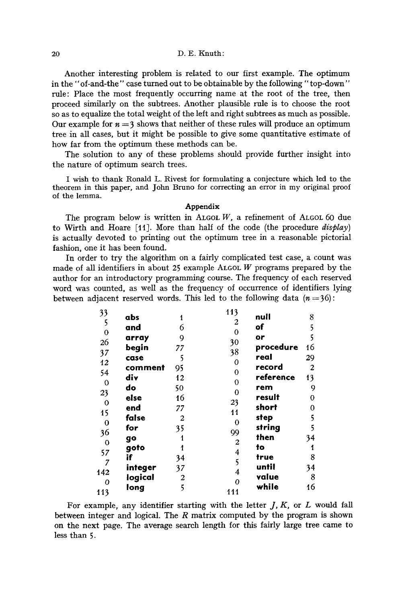#### 20 D.E. Knuth:

Another interesting problem is related to our first example. The optimum in the" of-and-the" case turned out to be obtainable by the following" top-down" rule: Place the most frequently occurring name at the root of the tree, then proceed similarly on the subtrees. Another plausible rule is to choose the root so as to equalize the total weight of the left and right subtrees as much as possible. Our example for  $n = 3$  shows that neither of these rules will produce an optimum tree in all cases, but it might be possible to give some quantitative estimate of how far from the optimum these methods can be.

The solution to any of these problems should provide further insight into the nature of optimum search trees.

I wish to thank Ronald L. Rivest for formulating a conjecture which led to the theorem in this paper, and John Bruno for correcting an error in my original proof of the lemma.

#### **Appendix**

The program below is written in ALGOL  $W$ , a refinement of ALGOL 60 due to Wirth and Hoare [tl]. More than half of the code (the procedure *display)*  is actually devoted to printing out the optimum tree in a reasonable pictorial fashion, one it has been found.

In order to try the algorithm on a fairly complicated test case, a count was made of all identifiers in about 25 example ALGOL  $W$  programs prepared by the author for an introductory programming course. The frequency of each reserved word was counted, as well as the frequency of occurrence of identifiers lying between adjacent reserved words. This led to the following data  $(n=36)$ :

| abs     | 1              | 113<br>null<br>2                        | 8              |
|---------|----------------|-----------------------------------------|----------------|
| and     | 6              | of<br>0                                 | 5              |
| array   | 9              | or                                      | 5              |
| begin   | 77             | 30<br>procedure<br>38                   | 16             |
| case    | 5              | real                                    | 29             |
| comment | 95             | 0<br>record                             | $\overline{c}$ |
| div     | 12             | $\overline{0}$<br>reference<br>$\theta$ | 13             |
| do      | 50             | rem<br>$\bf{0}$                         | 9              |
| else    | 16             | result                                  | 0              |
| end     | 77             | 23<br>short                             | 0              |
| false   | $\overline{2}$ | 11<br>step                              | 5              |
| for     | 35             | 0<br>string                             | 5              |
| go      | 1              | 99<br>then                              | 34             |
| goto    |                | $\boldsymbol{2}$<br>to                  | 1              |
| ïf      | 34             | 4<br>true<br>5                          | 8              |
| integer | 37             | until                                   | 34             |
| logical | 2              | 4<br>value<br>0                         | 8              |
| long    | 5              | while<br>111                            | 16             |
|         |                |                                         |                |

For example, any identifier starting with the letter  $J, K$ , or  $L$  would fall between integer and logical. The  $R$  matrix computed by the program is shown on the next page. The average search length for this fairly large tree came to less than 5.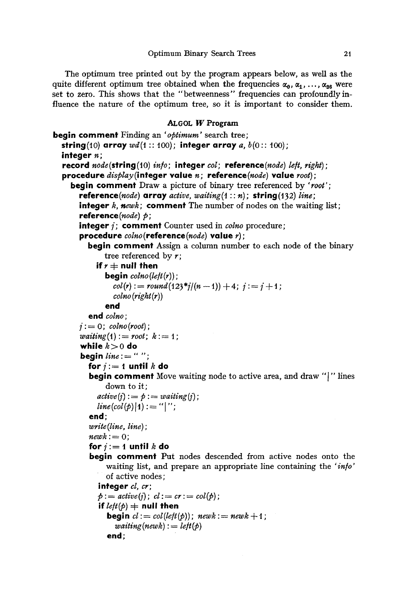The optimum tree printed out by the program appears below, as well as the quite different optimum tree obtained when the frequencies  $\alpha_0, \alpha_1, \ldots, \alpha_{38}$  were set to zero. This shows that the "betweenness" frequencies can profoundly influence the nature of the optimum tree, so it is important to consider them.

### ALGOL W Program

```
begin comment Finding an 'optimum' search tree; 
  string(10) array wd(1:: 100); integer array a, b(0:: 100);
  integer n; 
  record node(string (10) in/o ; integer col; reference (node) left, right) ; 
  procedure display(integer value n; reference(node) value root); 
     begin comment Draw a picture of binary tree referenced by 'root'; 
       reference(node) array \text{ } \textit{array} \textit{ \textbf{active}, \textbf{ waiting}(1::n);} \textit{ \textbf{string}(132) \textit{ line};}integer k, newk; comment The number of nodes on the waiting list;
       reference(node) p;
       integer i; comment Counter used in colno procedure;
       procedure colno(reference(node) value r); 
          begin comment Assign a column number to each node of the binary 
               tree referenced by r;
            if r \neq null then
               begin colno(lefl(r) ) ; 
                 col(r) := round(123 * j/(n - 1)) + 4; j := j + 1;colno(right(r)) 
               end 
          end colno ; 
       j := 0; \text{colno}(\text{root});

        while k > 0 do
        begin line := " " "for j := 1 until k do
          begin comment Move waiting node to active area, and draw "[" lines 
               down to it; 
            active(i) := p := waiting(i);line (col(p)|1) := "|";
          end; 
          write (line, line) ; 
          \mathit{newk} := 0;
          for i := 1 until k do
          begin comment Put nodes descended from active nodes onto the 
               waiting list, and prepare an appropriate line containing the 'in/o' 
               of active nodes; 
             integer cl, or; 
             \phi := active(j); \ cl:= cr := col(\phi);if let(\phi) \neq \textbf{null} then
               begin cl := col(left(p)); newk := newk + 1;
                 weight(<i>newk</i>) := left(<i>p</i>)end;
```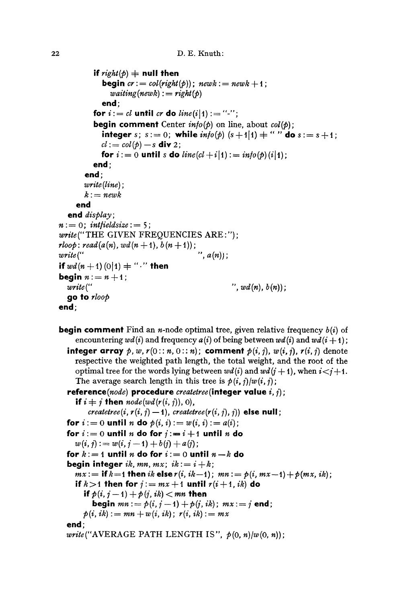```
if right(p) + null then
           begin cr := col(right(b)); newk := newk + 1;

           end; 
        for i := cl until cr do line(i|1) := "-";
         begin comment Center in/o(p) on line, about col(p); 
           integer s; s := 0; while \text{info}(p) (s+1|1) + " " do s := s+1;
           cl := col(p) - s div 2;
           for i := 0 until s do line(cl + i|1) : = into(p)(i|1);
         end; 
      end; 
      write (line) ; 
      k := newkend 
  end display; 
n := 0; intfieldsize : = 5;
write (" THE GIVEN FREQUENCIES ARE: ") ; 
\mathit{rloop}: \mathit{read}(a(n), \mathit{wd}(n+1), \, b(n+1));
write(", a(n); \ldots, a(n); \ldots, a(n));
if wd(n+1) (0|1) + "." then
begin n := n+1;
  write( .... , wd(n), b(n)); 
  go to rloop 
end;
```

```
begin comment Find an n-node optimal tree, given relative frequency b(i) of
    encountering wd(i) and frequency a(i) of being between wd(i) and wd(i + 1);
  integer array p, w, r(0: n, 0: n); comment p(i, j), w(i, j), r(i, j) denote
    respective the weighted path length, the total weight, and the root of the 
    optimal tree for the words lying between wd(i) and wd(j + 1), when i < j + 1.
    The average search length in this tree is p(i, j)/w(i, j);
  reference(node) procedure createtree(integer value i, i) ; 
    if i \neq j then node(wd(r(i, j)), 0),
        createtree(i, r(i, j) -1), createtree(r(i, j), j)) else null;
  for i := 0 until n do p(i, i) := w(i, i) := a(i);
  for i:=0 until n do for i:=i+1 until n do
    w(i, j) := w(i, j - 1) + b(j) + a(j);for k:=1 until n do for i:=0 until n-k do
  begin integer ik, mn, mx; ik := i + k;
    mx := if k=1 then ik else r(i, ik-1); mn := p(i, mx-1) + p(mx, ik);
    if k > 1 then for j := mx + 1 until r(i + 1, ik) do
      if p(i, j-1) + p(j, ik) < mn then
         begin mn := p(i, j - 1) + p(j, ik); mx := j end;
      p(i, ik) := mn + w(i, ik); r(i, ik) := mxend; 
  write("AVERAGE PATH LENGTH IS", p(0, n)/w(o, n));
```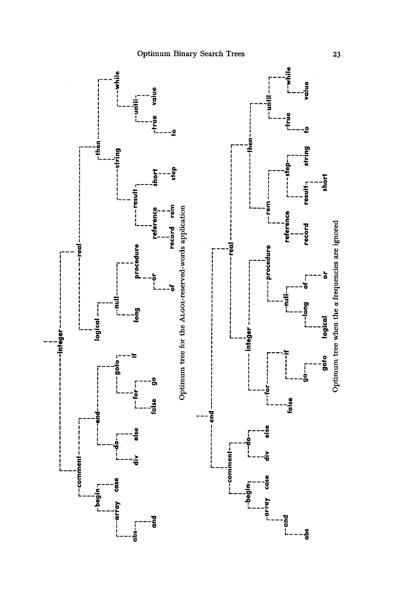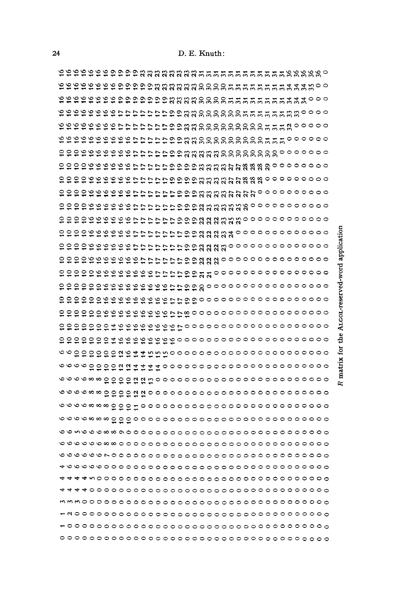199999999999888888885555555555555888888 ttttttta andre andre andre andre andre andre andre ender aufgestellen der Stadt der Erichtungs mm mO0000000~ ~00000 ~m mO0000000~ ~000000 000~~ ~m ~m~O00000000000000 ~~~00000000 ~~000000000 ~ ~0000000000 application 0000~~ ~~0000000000000 ~ 00000000000000 ~oooooooooooooooo ~oooooooooooooooooo ~000000000000000000 0000000000000000000 0000000000000000000 0000000000000000000  **aaaaaa** ~~000 0000000000000000000 **~~0~~0000~**  0000000000000000000 **~~ooo~ooooo~**  0000000000000000000 ~~~o~oo| 0000000000000000000 ~~000~0000000 0000000000000000000 ~~00000000000 0000000000000000000 ~~~000000000 0000000000000000000 ~~0000000000 0000000000000000000 0000000000000000000 ~~000000000000 0000000000000000000 ~~0000000000000 0000000000000000000 ~00000000000000 0000000000000000000 ~000000000000000 0000000000000000000 ~0000000000000000 0000000000000000000 ~00000000000000000 0000000000000000000 0000000000000000000000000000000000000

ō.

0

matrix for

the.